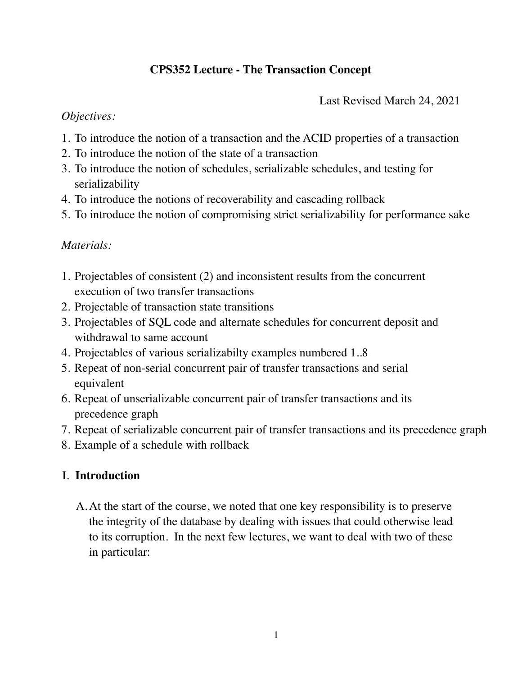# **CPS352 Lecture - The Transaction Concept**

Last Revised March 24, 2021

#### *Objectives:*

- 1. To introduce the notion of a transaction and the ACID properties of a transaction
- 2. To introduce the notion of the state of a transaction
- 3. To introduce the notion of schedules, serializable schedules, and testing for serializability
- 4. To introduce the notions of recoverability and cascading rollback
- 5. To introduce the notion of compromising strict serializability for performance sake

### *Materials:*

- 1. Projectables of consistent (2) and inconsistent results from the concurrent execution of two transfer transactions
- 2. Projectable of transaction state transitions
- 3. Projectables of SQL code and alternate schedules for concurrent deposit and withdrawal to same account
- 4. Projectables of various serializabilty examples numbered 1..8
- 5. Repeat of non-serial concurrent pair of transfer transactions and serial equivalent
- 6. Repeat of unserializable concurrent pair of transfer transactions and its precedence graph
- 7. Repeat of serializable concurrent pair of transfer transactions and its precedence graph
- 8. Example of a schedule with rollback

### I. **Introduction**

A.At the start of the course, we noted that one key responsibility is to preserve the integrity of the database by dealing with issues that could otherwise lead to its corruption. In the next few lectures, we want to deal with two of these in particular: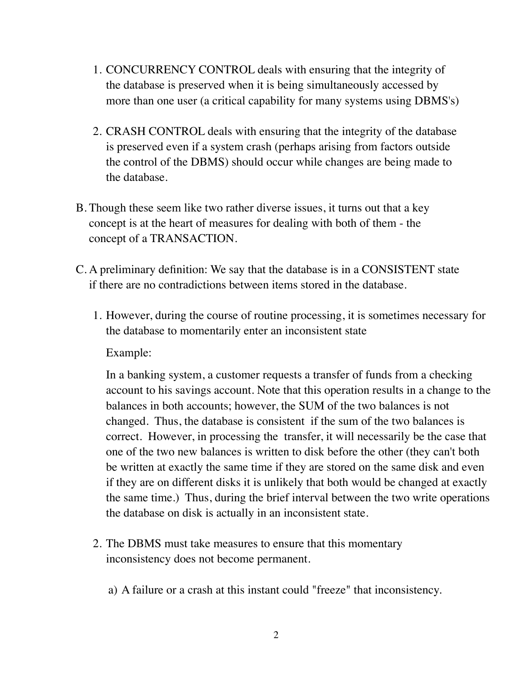- 1. CONCURRENCY CONTROL deals with ensuring that the integrity of the database is preserved when it is being simultaneously accessed by more than one user (a critical capability for many systems using DBMS's)
- 2. CRASH CONTROL deals with ensuring that the integrity of the database is preserved even if a system crash (perhaps arising from factors outside the control of the DBMS) should occur while changes are being made to the database.
- B. Though these seem like two rather diverse issues, it turns out that a key concept is at the heart of measures for dealing with both of them - the concept of a TRANSACTION.
- C. A preliminary definition: We say that the database is in a CONSISTENT state if there are no contradictions between items stored in the database.
	- 1. However, during the course of routine processing, it is sometimes necessary for the database to momentarily enter an inconsistent state

Example:

In a banking system, a customer requests a transfer of funds from a checking account to his savings account. Note that this operation results in a change to the balances in both accounts; however, the SUM of the two balances is not changed. Thus, the database is consistent if the sum of the two balances is correct. However, in processing the transfer, it will necessarily be the case that one of the two new balances is written to disk before the other (they can't both be written at exactly the same time if they are stored on the same disk and even if they are on different disks it is unlikely that both would be changed at exactly the same time.) Thus, during the brief interval between the two write operations the database on disk is actually in an inconsistent state.

- 2. The DBMS must take measures to ensure that this momentary inconsistency does not become permanent.
	- a) A failure or a crash at this instant could "freeze" that inconsistency.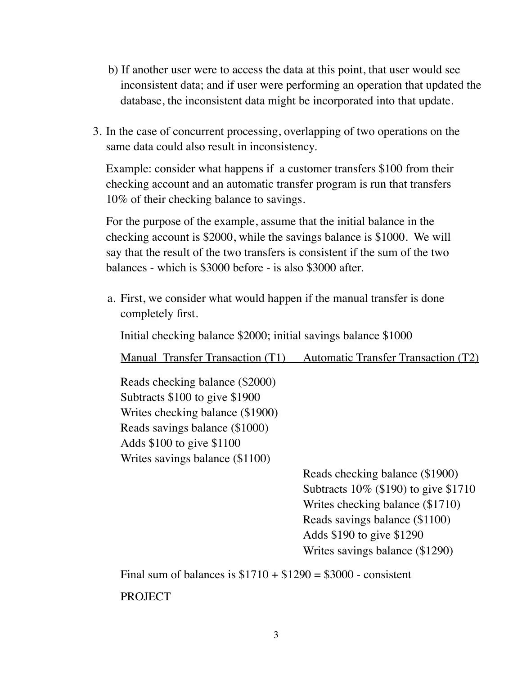- b) If another user were to access the data at this point, that user would see inconsistent data; and if user were performing an operation that updated the database, the inconsistent data might be incorporated into that update.
- 3. In the case of concurrent processing, overlapping of two operations on the same data could also result in inconsistency.

Example: consider what happens if a customer transfers \$100 from their checking account and an automatic transfer program is run that transfers 10% of their checking balance to savings.

For the purpose of the example, assume that the initial balance in the checking account is \$2000, while the savings balance is \$1000. We will say that the result of the two transfers is consistent if the sum of the two balances - which is \$3000 before - is also \$3000 after.

a. First, we consider what would happen if the manual transfer is done completely first.

Initial checking balance \$2000; initial savings balance \$1000

Manual Transfer Transaction (T1) Automatic Transfer Transaction (T2)

Reads checking balance (\$2000) Subtracts \$100 to give \$1900 Writes checking balance (\$1900) Reads savings balance (\$1000) Adds \$100 to give \$1100 Writes savings balance (\$1100)

> Reads checking balance (\$1900) Subtracts 10% (\$190) to give \$1710 Writes checking balance (\$1710) Reads savings balance (\$1100) Adds \$190 to give \$1290 Writes savings balance (\$1290)

Final sum of balances is  $$1710 + $1290 = $3000$  - consistent **PROJECT**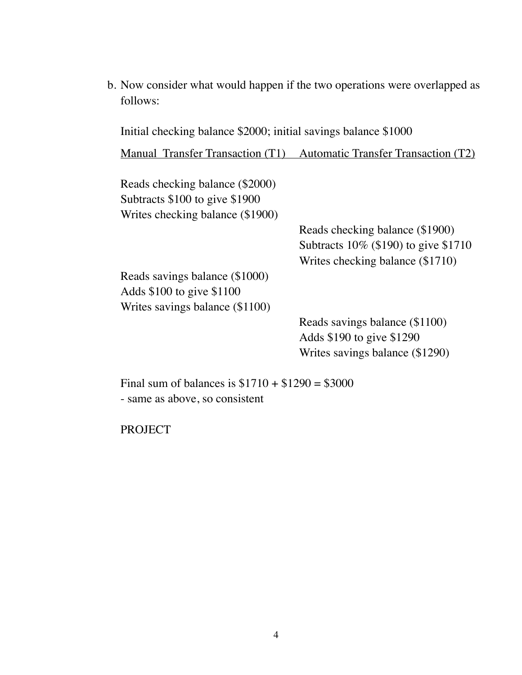b. Now consider what would happen if the two operations were overlapped as follows:

Initial checking balance \$2000; initial savings balance \$1000

Manual Transfer Transaction (T1) Automatic Transfer Transaction (T2)

Reads checking balance (\$2000) Subtracts \$100 to give \$1900 Writes checking balance (\$1900)

> Reads checking balance (\$1900) Subtracts 10% (\$190) to give \$1710 Writes checking balance (\$1710)

Reads savings balance (\$1000) Adds \$100 to give \$1100 Writes savings balance (\$1100)

> Reads savings balance (\$1100) Adds \$190 to give \$1290 Writes savings balance (\$1290)

Final sum of balances is  $$1710 + $1290 = $3000$ - same as above, so consistent

PROJECT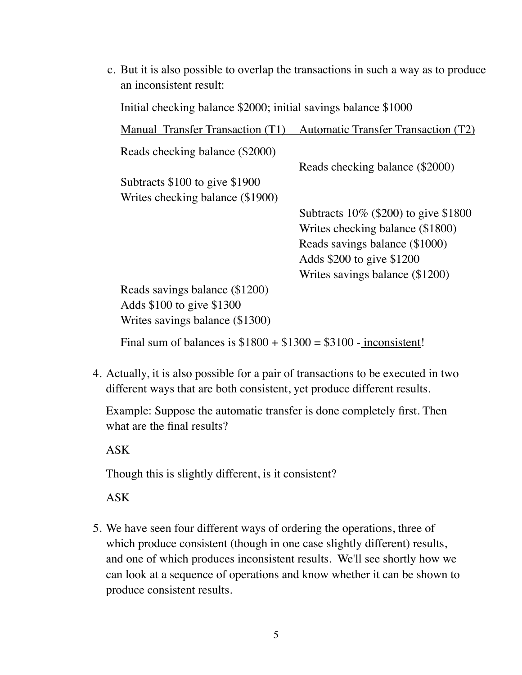c. But it is also possible to overlap the transactions in such a way as to produce an inconsistent result:

Initial checking balance \$2000; initial savings balance \$1000

| Manual Transfer Transaction (T1)                                 | <b>Automatic Transfer Transaction (T2)</b> |
|------------------------------------------------------------------|--------------------------------------------|
| Reads checking balance (\$2000)                                  |                                            |
|                                                                  | Reads checking balance (\$2000)            |
| Subtracts $$100$ to give $$1900$                                 |                                            |
| Writes checking balance (\$1900)                                 |                                            |
|                                                                  | Subtracts 10% (\$200) to give \$1800       |
|                                                                  | Writes checking balance (\$1800)           |
|                                                                  | Reads savings balance (\$1000)             |
|                                                                  | Adds \$200 to give \$1200                  |
|                                                                  | Writes savings balance (\$1200)            |
| Reads savings balance (\$1200)                                   |                                            |
| Adds \$100 to give \$1300                                        |                                            |
| Writes savings balance (\$1300)                                  |                                            |
| Final sum of balances is $$1800 + $1300 = $3100$ - inconsistent! |                                            |

4. Actually, it is also possible for a pair of transactions to be executed in two different ways that are both consistent, yet produce different results.

Example: Suppose the automatic transfer is done completely first. Then what are the final results?

ASK

Though this is slightly different, is it consistent?

ASK

5. We have seen four different ways of ordering the operations, three of which produce consistent (though in one case slightly different) results, and one of which produces inconsistent results. We'll see shortly how we can look at a sequence of operations and know whether it can be shown to produce consistent results.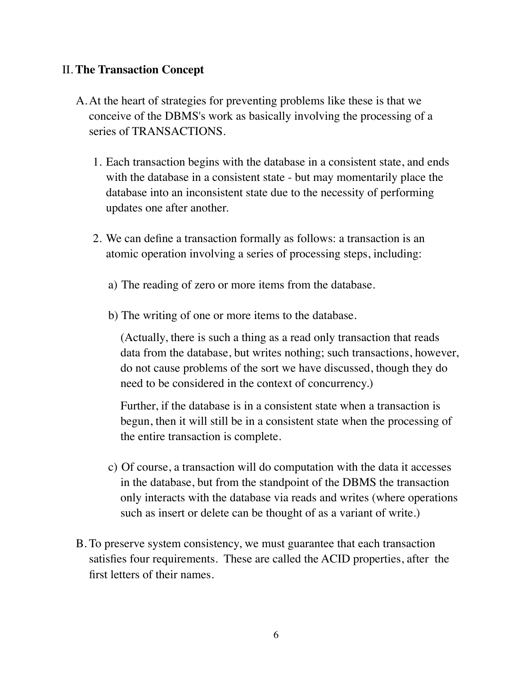## II. **The Transaction Concept**

- A.At the heart of strategies for preventing problems like these is that we conceive of the DBMS's work as basically involving the processing of a series of TRANSACTIONS.
	- 1. Each transaction begins with the database in a consistent state, and ends with the database in a consistent state - but may momentarily place the database into an inconsistent state due to the necessity of performing updates one after another.
	- 2. We can define a transaction formally as follows: a transaction is an atomic operation involving a series of processing steps, including:
		- a) The reading of zero or more items from the database.
		- b) The writing of one or more items to the database.

(Actually, there is such a thing as a read only transaction that reads data from the database, but writes nothing; such transactions, however, do not cause problems of the sort we have discussed, though they do need to be considered in the context of concurrency.)

Further, if the database is in a consistent state when a transaction is begun, then it will still be in a consistent state when the processing of the entire transaction is complete.

- c) Of course, a transaction will do computation with the data it accesses in the database, but from the standpoint of the DBMS the transaction only interacts with the database via reads and writes (where operations such as insert or delete can be thought of as a variant of write.)
- B. To preserve system consistency, we must guarantee that each transaction satisfies four requirements. These are called the ACID properties, after the first letters of their names.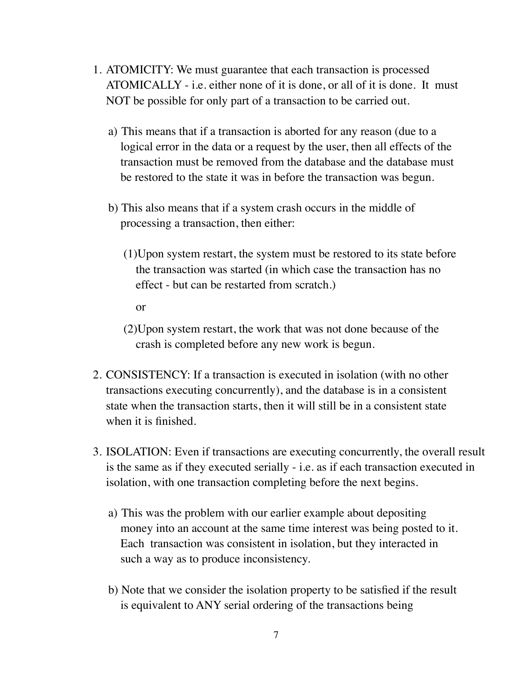- 1. ATOMICITY: We must guarantee that each transaction is processed ATOMICALLY - i.e. either none of it is done, or all of it is done. It must NOT be possible for only part of a transaction to be carried out.
	- a) This means that if a transaction is aborted for any reason (due to a logical error in the data or a request by the user, then all effects of the transaction must be removed from the database and the database must be restored to the state it was in before the transaction was begun.
	- b) This also means that if a system crash occurs in the middle of processing a transaction, then either:
		- (1)Upon system restart, the system must be restored to its state before the transaction was started (in which case the transaction has no effect - but can be restarted from scratch.)
			- or
		- (2)Upon system restart, the work that was not done because of the crash is completed before any new work is begun.
- 2. CONSISTENCY: If a transaction is executed in isolation (with no other transactions executing concurrently), and the database is in a consistent state when the transaction starts, then it will still be in a consistent state when it is finished.
- 3. ISOLATION: Even if transactions are executing concurrently, the overall result is the same as if they executed serially - i.e. as if each transaction executed in isolation, with one transaction completing before the next begins.
	- a) This was the problem with our earlier example about depositing money into an account at the same time interest was being posted to it. Each transaction was consistent in isolation, but they interacted in such a way as to produce inconsistency.
	- b) Note that we consider the isolation property to be satisfied if the result is equivalent to ANY serial ordering of the transactions being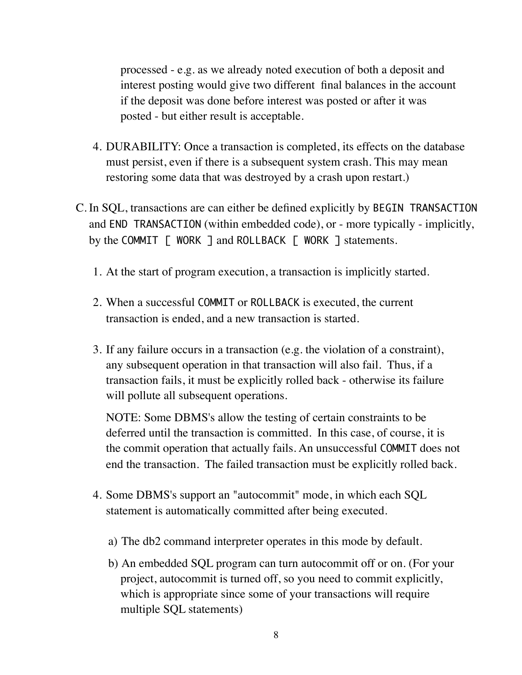processed - e.g. as we already noted execution of both a deposit and interest posting would give two different final balances in the account if the deposit was done before interest was posted or after it was posted - but either result is acceptable.

- 4. DURABILITY: Once a transaction is completed, its effects on the database must persist, even if there is a subsequent system crash. This may mean restoring some data that was destroyed by a crash upon restart.)
- C. In SQL, transactions are can either be defined explicitly by BEGIN TRANSACTION and END TRANSACTION (within embedded code), or - more typically - implicitly, by the COMMIT [ WORK ] and ROLLBACK [ WORK ] statements.
	- 1. At the start of program execution, a transaction is implicitly started.
	- 2. When a successful COMMIT or ROLLBACK is executed, the current transaction is ended, and a new transaction is started.
	- 3. If any failure occurs in a transaction (e.g. the violation of a constraint), any subsequent operation in that transaction will also fail. Thus, if a transaction fails, it must be explicitly rolled back - otherwise its failure will pollute all subsequent operations.

NOTE: Some DBMS's allow the testing of certain constraints to be deferred until the transaction is committed. In this case, of course, it is the commit operation that actually fails. An unsuccessful COMMIT does not end the transaction. The failed transaction must be explicitly rolled back.

- 4. Some DBMS's support an "autocommit" mode, in which each SQL statement is automatically committed after being executed.
	- a) The db2 command interpreter operates in this mode by default.
	- b) An embedded SQL program can turn autocommit off or on. (For your project, autocommit is turned off, so you need to commit explicitly, which is appropriate since some of your transactions will require multiple SQL statements)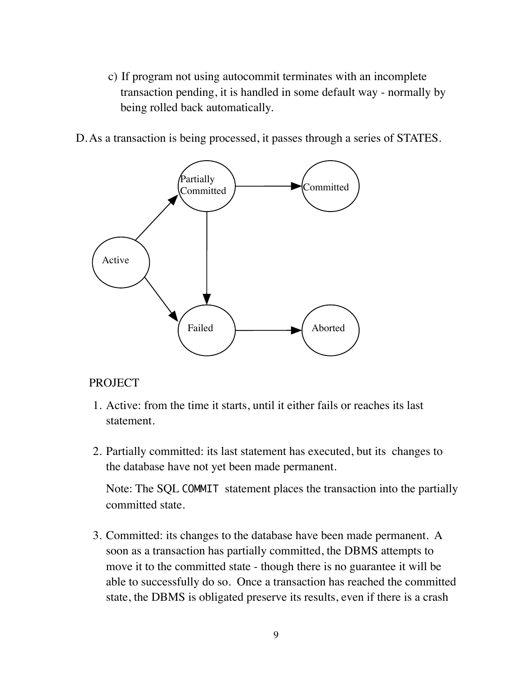c) If program not using autocommit terminates with an incomplete transaction pending, it is handled in some default way - normally by being rolled back automatically.

D.As a transaction is being processed, it passes through a series of STATES.



### PROJECT

- 1. Active: from the time it starts, until it either fails or reaches its last statement.
- 2. Partially committed: its last statement has executed, but its changes to the database have not yet been made permanent.

Note: The SQL COMMIT statement places the transaction into the partially committed state.

3. Committed: its changes to the database have been made permanent. A soon as a transaction has partially committed, the DBMS attempts to move it to the committed state - though there is no guarantee it will be able to successfully do so. Once a transaction has reached the committed state, the DBMS is obligated preserve its results, even if there is a crash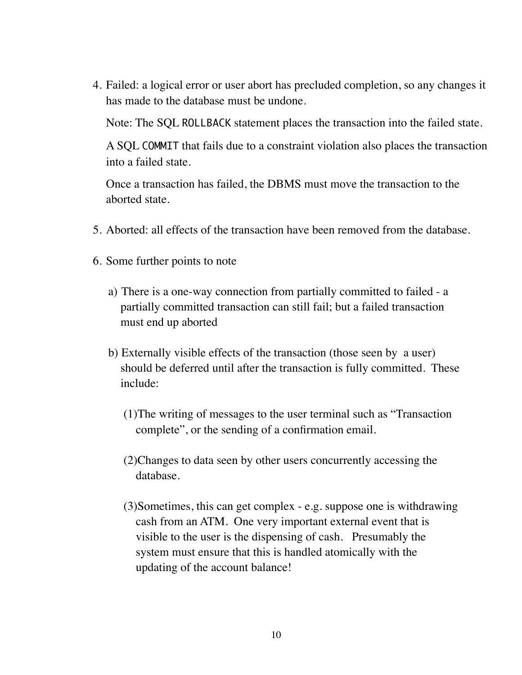4. Failed: a logical error or user abort has precluded completion, so any changes it has made to the database must be undone.

Note: The SQL ROLLBACK statement places the transaction into the failed state.

A SQL COMMIT that fails due to a constraint violation also places the transaction into a failed state.

Once a transaction has failed, the DBMS must move the transaction to the aborted state.

- 5. Aborted: all effects of the transaction have been removed from the database.
- 6. Some further points to note
	- a) There is a one-way connection from partially committed to failed a partially committed transaction can still fail; but a failed transaction must end up aborted
	- b) Externally visible effects of the transaction (those seen by a user) should be deferred until after the transaction is fully committed. These include:
		- (1)The writing of messages to the user terminal such as "Transaction complete", or the sending of a confirmation email.
		- (2)Changes to data seen by other users concurrently accessing the database.
		- (3)Sometimes, this can get complex e.g. suppose one is withdrawing cash from an ATM. One very important external event that is visible to the user is the dispensing of cash. Presumably the system must ensure that this is handled atomically with the updating of the account balance!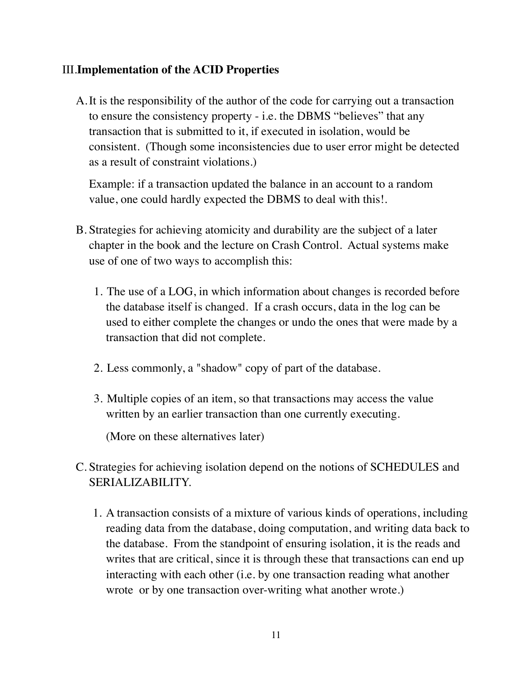# III.**Implementation of the ACID Properties**

A.It is the responsibility of the author of the code for carrying out a transaction to ensure the consistency property - i.e. the DBMS "believes" that any transaction that is submitted to it, if executed in isolation, would be consistent. (Though some inconsistencies due to user error might be detected as a result of constraint violations.)

Example: if a transaction updated the balance in an account to a random value, one could hardly expected the DBMS to deal with this!.

- B. Strategies for achieving atomicity and durability are the subject of a later chapter in the book and the lecture on Crash Control. Actual systems make use of one of two ways to accomplish this:
	- 1. The use of a LOG, in which information about changes is recorded before the database itself is changed. If a crash occurs, data in the log can be used to either complete the changes or undo the ones that were made by a transaction that did not complete.
	- 2. Less commonly, a "shadow" copy of part of the database.
	- 3. Multiple copies of an item, so that transactions may access the value written by an earlier transaction than one currently executing.

(More on these alternatives later)

- C. Strategies for achieving isolation depend on the notions of SCHEDULES and SERIALIZABILITY.
	- 1. A transaction consists of a mixture of various kinds of operations, including reading data from the database, doing computation, and writing data back to the database. From the standpoint of ensuring isolation, it is the reads and writes that are critical, since it is through these that transactions can end up interacting with each other (i.e. by one transaction reading what another wrote or by one transaction over-writing what another wrote.)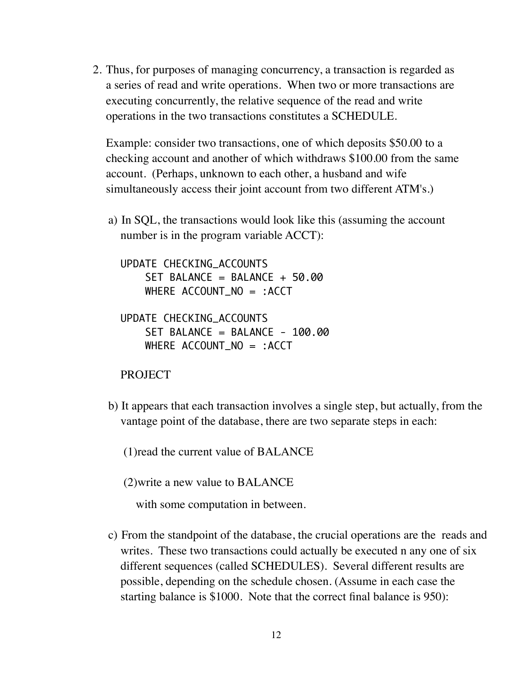2. Thus, for purposes of managing concurrency, a transaction is regarded as a series of read and write operations. When two or more transactions are executing concurrently, the relative sequence of the read and write operations in the two transactions constitutes a SCHEDULE.

Example: consider two transactions, one of which deposits \$50.00 to a checking account and another of which withdraws \$100.00 from the same account. (Perhaps, unknown to each other, a husband and wife simultaneously access their joint account from two different ATM's.)

a) In SQL, the transactions would look like this (assuming the account number is in the program variable ACCT):

UPDATE CHECKING\_ACCOUNTS SET BALANCE = BALANCE + 50.00 WHERE ACCOUNT\_NO = :ACCT

```
UPDATE CHECKING_ACCOUNTS 
SET BALANCE = BALANCE - 100.00
 WHERE ACCOUNT_NO = :ACCT
```
#### PROJECT

b) It appears that each transaction involves a single step, but actually, from the vantage point of the database, there are two separate steps in each:

(1)read the current value of BALANCE

(2)write a new value to BALANCE

with some computation in between.

c) From the standpoint of the database, the crucial operations are the reads and writes. These two transactions could actually be executed n any one of six different sequences (called SCHEDULES). Several different results are possible, depending on the schedule chosen. (Assume in each case the starting balance is \$1000. Note that the correct final balance is 950):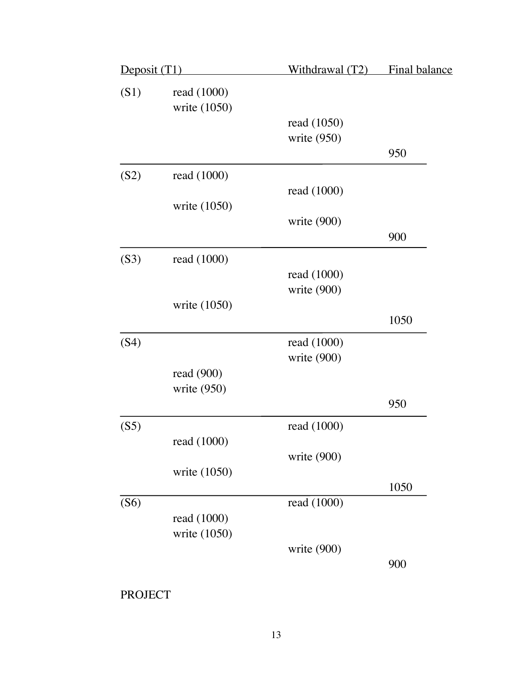| Deposit (T1) |                             | Withdrawal (T2) | Final balance |
|--------------|-----------------------------|-----------------|---------------|
| (S1)         | read (1000)<br>write (1050) |                 |               |
|              |                             | read (1050)     |               |
|              |                             | write $(950)$   |               |
|              |                             |                 | 950           |
| (S2)         | read (1000)                 |                 |               |
|              |                             | read (1000)     |               |
|              | write (1050)                |                 |               |
|              |                             | write $(900)$   |               |
|              |                             |                 | 900           |
| (S3)         | read (1000)                 |                 |               |
|              |                             | read (1000)     |               |
|              |                             | write (900)     |               |
|              | write (1050)                |                 |               |
|              |                             |                 | 1050          |
| (S4)         |                             | read (1000)     |               |
|              |                             | write (900)     |               |
|              | read $(900)$                |                 |               |
|              | write $(950)$               |                 |               |
|              |                             |                 | 950           |
| (S5)         |                             | read (1000)     |               |
|              | read (1000)                 |                 |               |
|              |                             | write (900)     |               |
|              | write (1050)                |                 |               |
|              |                             |                 | 1050          |
| (S6)         |                             | read (1000)     |               |
|              | read (1000)                 |                 |               |
|              | write (1050)                |                 |               |
|              |                             | write $(900)$   |               |
|              |                             |                 | 900           |

PROJECT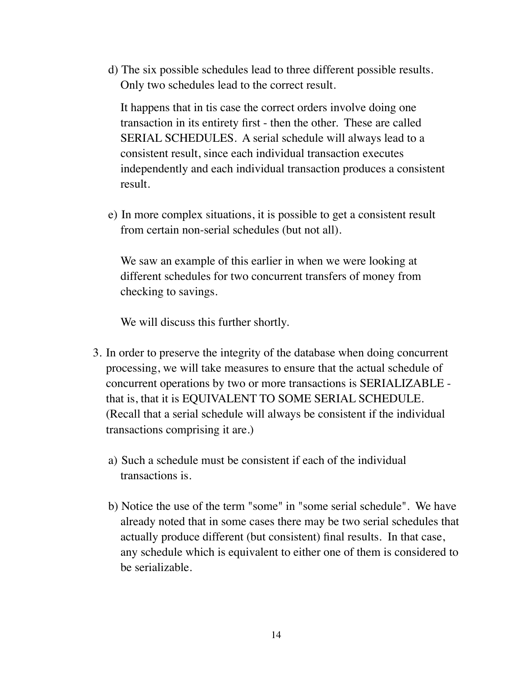d) The six possible schedules lead to three different possible results. Only two schedules lead to the correct result.

It happens that in tis case the correct orders involve doing one transaction in its entirety first - then the other. These are called SERIAL SCHEDULES. A serial schedule will always lead to a consistent result, since each individual transaction executes independently and each individual transaction produces a consistent result.

e) In more complex situations, it is possible to get a consistent result from certain non-serial schedules (but not all).

We saw an example of this earlier in when we were looking at different schedules for two concurrent transfers of money from checking to savings.

We will discuss this further shortly.

- 3. In order to preserve the integrity of the database when doing concurrent processing, we will take measures to ensure that the actual schedule of concurrent operations by two or more transactions is SERIALIZABLE that is, that it is EQUIVALENT TO SOME SERIAL SCHEDULE. (Recall that a serial schedule will always be consistent if the individual transactions comprising it are.)
	- a) Such a schedule must be consistent if each of the individual transactions is.
	- b) Notice the use of the term "some" in "some serial schedule". We have already noted that in some cases there may be two serial schedules that actually produce different (but consistent) final results. In that case, any schedule which is equivalent to either one of them is considered to be serializable.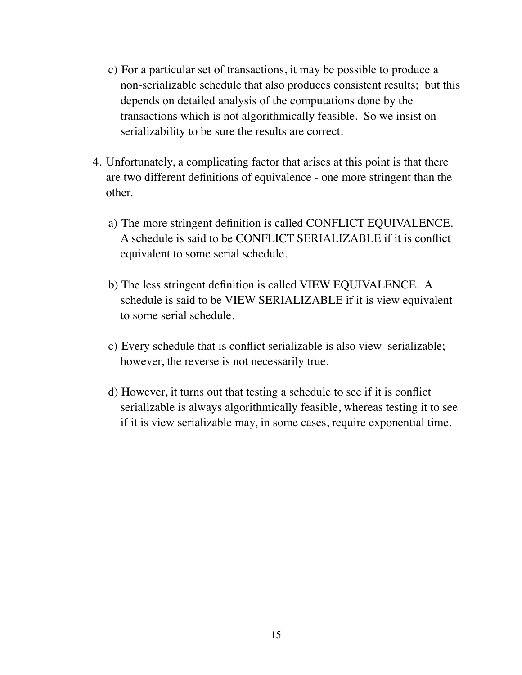- c) For a particular set of transactions, it may be possible to produce a non-serializable schedule that also produces consistent results; but this depends on detailed analysis of the computations done by the transactions which is not algorithmically feasible. So we insist on serializability to be sure the results are correct.
- 4. Unfortunately, a complicating factor that arises at this point is that there are two different definitions of equivalence - one more stringent than the other.
	- a) The more stringent definition is called CONFLICT EQUIVALENCE. A schedule is said to be CONFLICT SERIALIZABLE if it is conflict equivalent to some serial schedule.
	- b) The less stringent definition is called VIEW EQUIVALENCE. A schedule is said to be VIEW SERIALIZABLE if it is view equivalent to some serial schedule.
	- c) Every schedule that is conflict serializable is also view serializable; however, the reverse is not necessarily true.
	- d) However, it turns out that testing a schedule to see if it is conflict serializable is always algorithmically feasible, whereas testing it to see if it is view serializable may, in some cases, require exponential time.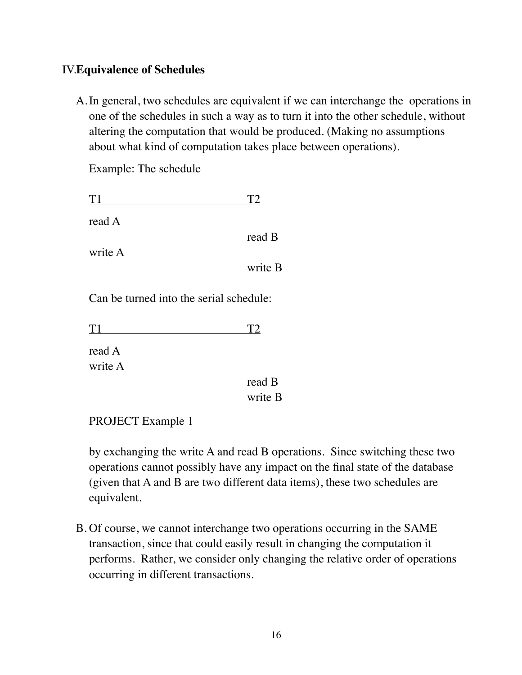# IV.**Equivalence of Schedules**

A.In general, two schedules are equivalent if we can interchange the operations in one of the schedules in such a way as to turn it into the other schedule, without altering the computation that would be produced. (Making no assumptions about what kind of computation takes place between operations).

 $B$ 

Example: The schedule

| T <sub>1</sub> |         |
|----------------|---------|
| read A         |         |
|                | read B  |
| write A        |         |
|                | write B |
|                |         |

Can be turned into the serial schedule:

 $T1$  T2

read A write A

> read B write B

PROJECT Example 1

by exchanging the write A and read B operations. Since switching these two operations cannot possibly have any impact on the final state of the database (given that A and B are two different data items), these two schedules are equivalent.

B. Of course, we cannot interchange two operations occurring in the SAME transaction, since that could easily result in changing the computation it performs. Rather, we consider only changing the relative order of operations occurring in different transactions.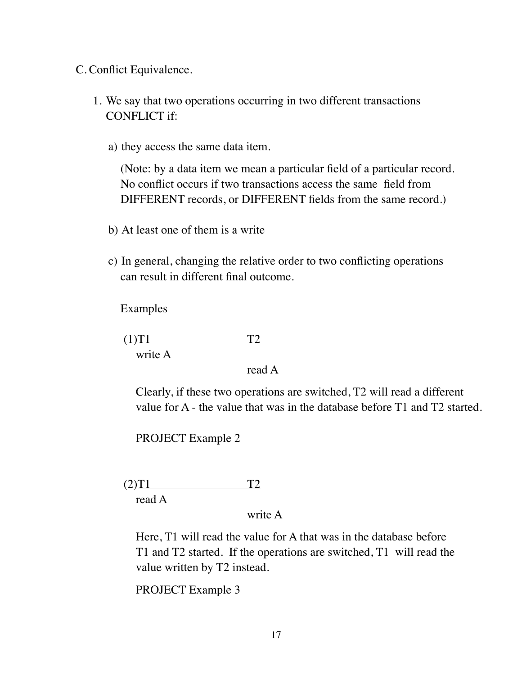C. Conflict Equivalence.

- 1. We say that two operations occurring in two different transactions CONFLICT if:
	- a) they access the same data item.

(Note: by a data item we mean a particular field of a particular record. No conflict occurs if two transactions access the same field from DIFFERENT records, or DIFFERENT fields from the same record.)

- b) At least one of them is a write
- c) In general, changing the relative order to two conflicting operations can result in different final outcome.

Examples

 $(T)T1$  T2 write A

read A

Clearly, if these two operations are switched, T2 will read a different value for A - the value that was in the database before T1 and T2 started.

PROJECT Example 2

 $(T2)T1$  T2 read A

#### write A

Here, T1 will read the value for A that was in the database before T1 and T2 started. If the operations are switched, T1 will read the value written by T2 instead.

PROJECT Example 3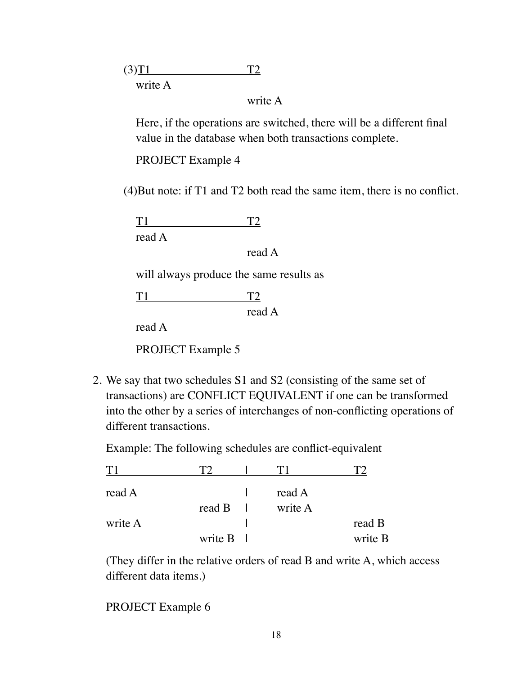$(T2$ write A

## write A

Here, if the operations are switched, there will be a different final value in the database when both transactions complete.

PROJECT Example 4

(4)But note: if T1 and T2 both read the same item, there is no conflict.

T1 T2 read A

read A

will always produce the same results as

T1 T2

read A

read A

PROJECT Example 5

2. We say that two schedules S1 and S2 (consisting of the same set of transactions) are CONFLICT EQUIVALENT if one can be transformed into the other by a series of interchanges of non-conflicting operations of different transactions.

Example: The following schedules are conflict-equivalent

| read A  |               | read A  |         |
|---------|---------------|---------|---------|
|         | read $\bf{B}$ | write A |         |
| write A |               |         | read B  |
|         | write B       |         | write B |

(They differ in the relative orders of read B and write A, which access different data items.)

PROJECT Example 6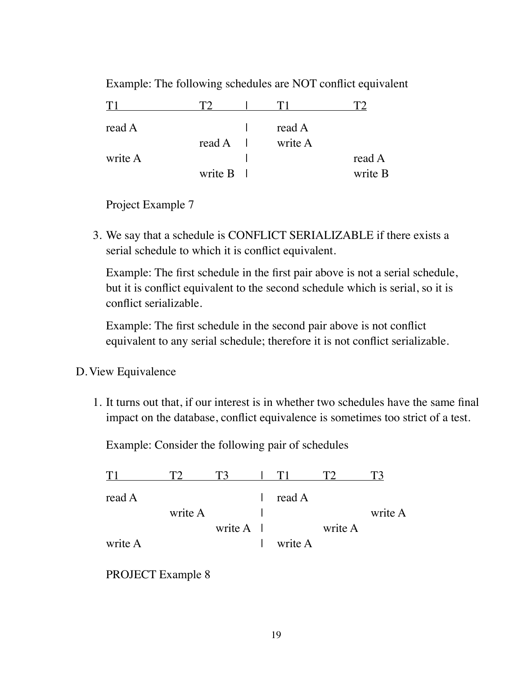| T       |          |         |         |
|---------|----------|---------|---------|
| read A  |          | read A  |         |
|         | $read A$ | write A |         |
| write A |          |         | read A  |
|         | write B  |         | write B |

Example: The following schedules are NOT conflict equivalent

Project Example 7

3. We say that a schedule is CONFLICT SERIALIZABLE if there exists a serial schedule to which it is conflict equivalent.

Example: The first schedule in the first pair above is not a serial schedule, but it is conflict equivalent to the second schedule which is serial, so it is conflict serializable.

Example: The first schedule in the second pair above is not conflict equivalent to any serial schedule; therefore it is not conflict serializable.

- D.View Equivalence
	- 1. It turns out that, if our interest is in whether two schedules have the same final impact on the database, conflict equivalence is sometimes too strict of a test.

Example: Consider the following pair of schedules

| read A  |         |                     | read A  |         |         |
|---------|---------|---------------------|---------|---------|---------|
|         | write A |                     |         |         | write A |
|         |         | write $A \parallel$ |         | write A |         |
| write A |         |                     | write A |         |         |

PROJECT Example 8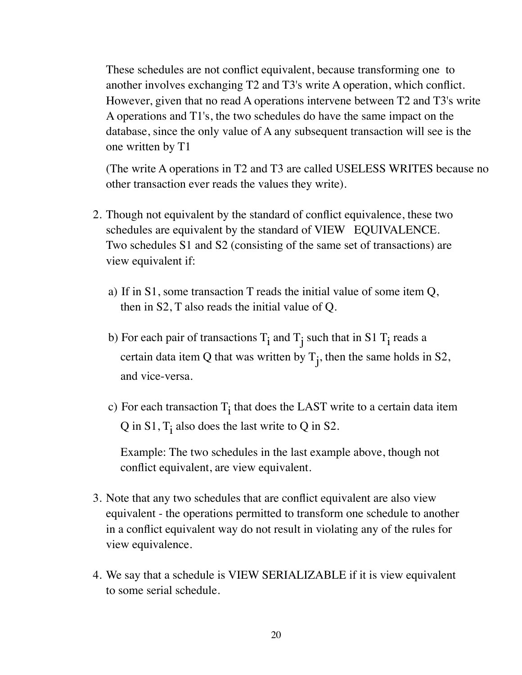These schedules are not conflict equivalent, because transforming one to another involves exchanging T2 and T3's write A operation, which conflict. However, given that no read A operations intervene between T2 and T3's write A operations and T1's, the two schedules do have the same impact on the database, since the only value of A any subsequent transaction will see is the one written by T1

(The write A operations in T2 and T3 are called USELESS WRITES because no other transaction ever reads the values they write).

- 2. Though not equivalent by the standard of conflict equivalence, these two schedules are equivalent by the standard of VIEW EQUIVALENCE. Two schedules S1 and S2 (consisting of the same set of transactions) are view equivalent if:
	- a) If in S1, some transaction T reads the initial value of some item Q, then in S2, T also reads the initial value of Q.
	- b) For each pair of transactions  $T_i$  and  $T_j$  such that in S1  $T_i$  reads a certain data item Q that was written by  $T_j$ , then the same holds in S2, and vice-versa.
	- c) For each transaction  $T_i$  that does the LAST write to a certain data item  $Q$  in S1,  $T_i$  also does the last write to  $Q$  in S2.

Example: The two schedules in the last example above, though not conflict equivalent, are view equivalent.

- 3. Note that any two schedules that are conflict equivalent are also view equivalent - the operations permitted to transform one schedule to another in a conflict equivalent way do not result in violating any of the rules for view equivalence.
- 4. We say that a schedule is VIEW SERIALIZABLE if it is view equivalent to some serial schedule.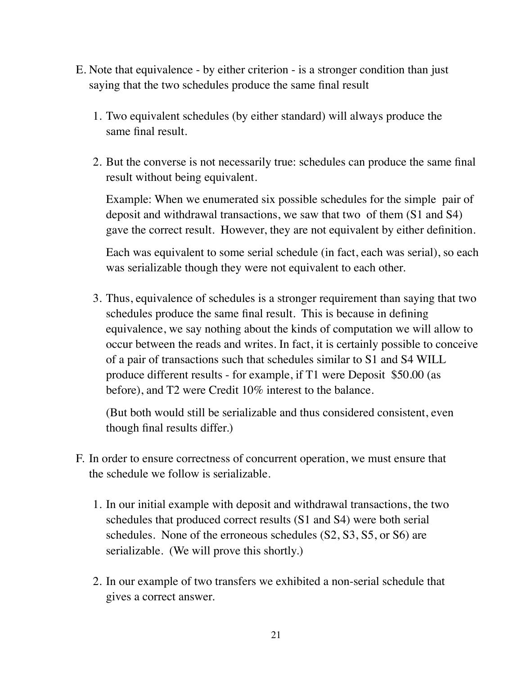- E. Note that equivalence by either criterion is a stronger condition than just saying that the two schedules produce the same final result
	- 1. Two equivalent schedules (by either standard) will always produce the same final result.
	- 2. But the converse is not necessarily true: schedules can produce the same final result without being equivalent.

Example: When we enumerated six possible schedules for the simple pair of deposit and withdrawal transactions, we saw that two of them (S1 and S4) gave the correct result. However, they are not equivalent by either definition.

Each was equivalent to some serial schedule (in fact, each was serial), so each was serializable though they were not equivalent to each other.

3. Thus, equivalence of schedules is a stronger requirement than saying that two schedules produce the same final result. This is because in defining equivalence, we say nothing about the kinds of computation we will allow to occur between the reads and writes. In fact, it is certainly possible to conceive of a pair of transactions such that schedules similar to S1 and S4 WILL produce different results - for example, if T1 were Deposit \$50.00 (as before), and T2 were Credit 10% interest to the balance.

(But both would still be serializable and thus considered consistent, even though final results differ.)

- F. In order to ensure correctness of concurrent operation, we must ensure that the schedule we follow is serializable.
	- 1. In our initial example with deposit and withdrawal transactions, the two schedules that produced correct results (S1 and S4) were both serial schedules. None of the erroneous schedules (S2, S3, S5, or S6) are serializable. (We will prove this shortly.)
	- 2. In our example of two transfers we exhibited a non-serial schedule that gives a correct answer.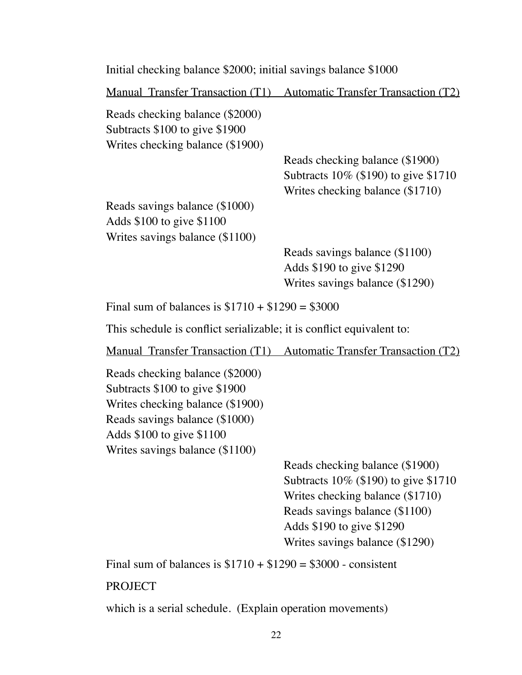| Initial checking balance \$2000; initial savings balance \$1000                                                                                                                                         |                                                                                                             |
|---------------------------------------------------------------------------------------------------------------------------------------------------------------------------------------------------------|-------------------------------------------------------------------------------------------------------------|
|                                                                                                                                                                                                         | <u>Manual Transfer Transaction (T1) Automatic Transfer Transaction (T2)</u>                                 |
| Reads checking balance (\$2000)<br>Subtracts \$100 to give \$1900<br>Writes checking balance (\$1900)                                                                                                   |                                                                                                             |
|                                                                                                                                                                                                         | Reads checking balance (\$1900)<br>Subtracts 10% (\$190) to give \$1710<br>Writes checking balance (\$1710) |
| Reads savings balance (\$1000)<br>Adds \$100 to give \$1100<br>Writes savings balance (\$1100)                                                                                                          |                                                                                                             |
|                                                                                                                                                                                                         | Reads savings balance (\$1100)<br>Adds \$190 to give \$1290<br>Writes savings balance (\$1290)              |
| Final sum of balances is $$1710 + $1290 = $3000$                                                                                                                                                        |                                                                                                             |
| This schedule is conflict serializable; it is conflict equivalent to:                                                                                                                                   |                                                                                                             |
|                                                                                                                                                                                                         | Manual Transfer Transaction (T1) Automatic Transfer Transaction (T2)                                        |
| Reads checking balance (\$2000)<br>Subtracts \$100 to give \$1900<br>Writes checking balance (\$1900)<br>Reads savings balance (\$1000)<br>Adds \$100 to give \$1100<br>Writes savings balance (\$1100) | Reads checking balance (\$1900)<br>Subtracts 10% (\$190) to give \$1710<br>Writes checking balance (\$1710) |
|                                                                                                                                                                                                         | Reads savings balance (\$1100)<br>Adds \$190 to give \$1290<br>Writes savings balance (\$1290)              |
| Final sum of balances is $$1710 + $1290 = $3000$ - consistent                                                                                                                                           |                                                                                                             |
| <b>PROJECT</b>                                                                                                                                                                                          |                                                                                                             |

which is a serial schedule. (Explain operation movements)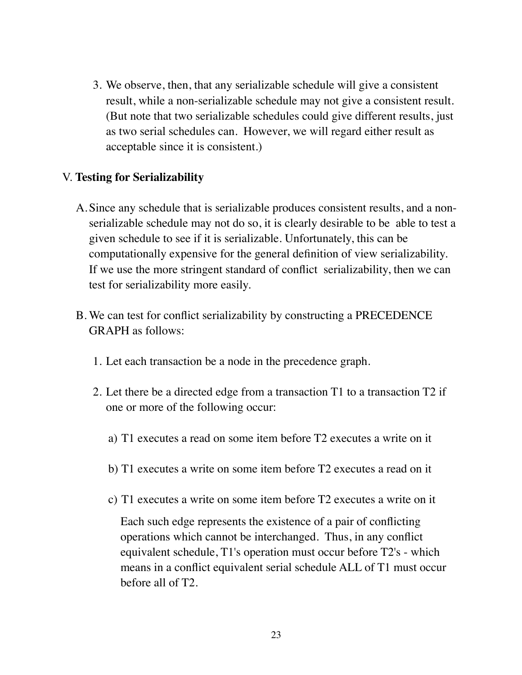3. We observe, then, that any serializable schedule will give a consistent result, while a non-serializable schedule may not give a consistent result. (But note that two serializable schedules could give different results, just as two serial schedules can. However, we will regard either result as acceptable since it is consistent.)

## V. **Testing for Serializability**

- A.Since any schedule that is serializable produces consistent results, and a nonserializable schedule may not do so, it is clearly desirable to be able to test a given schedule to see if it is serializable. Unfortunately, this can be computationally expensive for the general definition of view serializability. If we use the more stringent standard of conflict serializability, then we can test for serializability more easily.
- B. We can test for conflict serializability by constructing a PRECEDENCE GRAPH as follows:
	- 1. Let each transaction be a node in the precedence graph.
	- 2. Let there be a directed edge from a transaction T1 to a transaction T2 if one or more of the following occur:
		- a) T1 executes a read on some item before T2 executes a write on it
		- b) T1 executes a write on some item before T2 executes a read on it
		- c) T1 executes a write on some item before T2 executes a write on it

Each such edge represents the existence of a pair of conflicting operations which cannot be interchanged. Thus, in any conflict equivalent schedule, T1's operation must occur before T2's - which means in a conflict equivalent serial schedule ALL of T1 must occur before all of T2.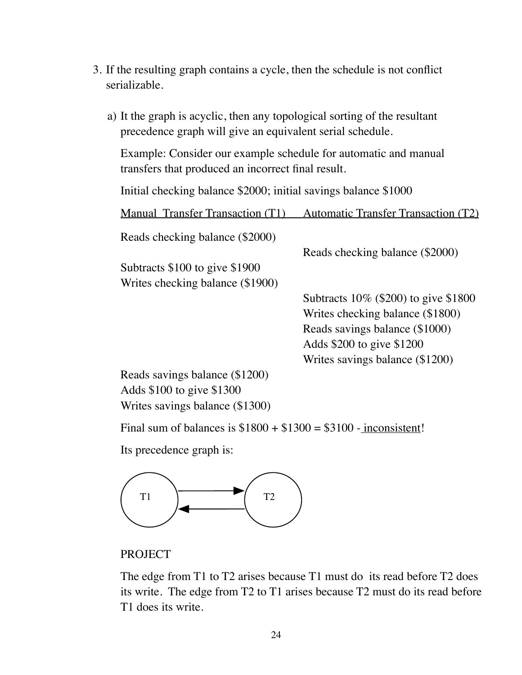- 3. If the resulting graph contains a cycle, then the schedule is not conflict serializable.
	- a) It the graph is acyclic, then any topological sorting of the resultant precedence graph will give an equivalent serial schedule.

Example: Consider our example schedule for automatic and manual transfers that produced an incorrect final result.

Initial checking balance \$2000; initial savings balance \$1000

Manual Transfer Transaction (T1) Automatic Transfer Transaction (T2)

Reads checking balance (\$2000)

Subtracts \$100 to give \$1900 Writes checking balance (\$1900)

> Subtracts 10% (\$200) to give \$1800 Writes checking balance (\$1800) Reads savings balance (\$1000) Adds \$200 to give \$1200 Writes savings balance (\$1200)

Reads checking balance (\$2000)

Reads savings balance (\$1200) Adds \$100 to give \$1300 Writes savings balance (\$1300)

Final sum of balances is  $$1800 + $1300 = $3100$  - inconsistent!

Its precedence graph is:



#### **PROJECT**

The edge from T1 to T2 arises because T1 must do its read before T2 does its write. The edge from T2 to T1 arises because T2 must do its read before T1 does its write.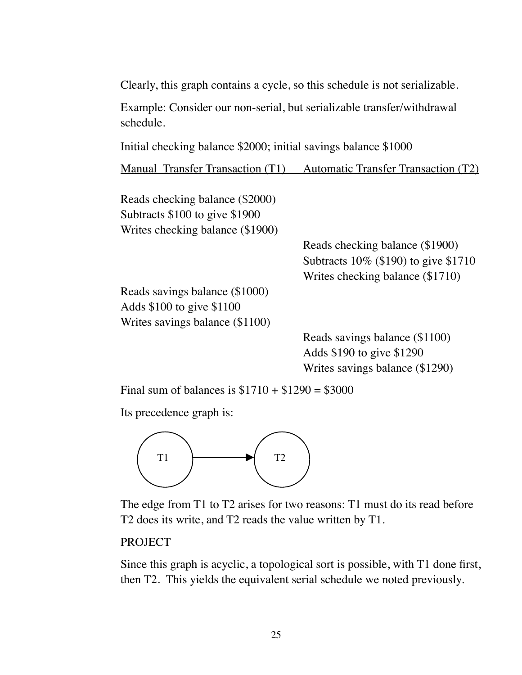Clearly, this graph contains a cycle, so this schedule is not serializable.

Example: Consider our non-serial, but serializable transfer/withdrawal schedule.

Initial checking balance \$2000; initial savings balance \$1000

Manual Transfer Transaction (T1) Automatic Transfer Transaction (T2)

Reads checking balance (\$2000) Subtracts \$100 to give \$1900 Writes checking balance (\$1900)

> Reads checking balance (\$1900) Subtracts 10% (\$190) to give \$1710 Writes checking balance (\$1710)

Reads savings balance (\$1000) Adds \$100 to give \$1100 Writes savings balance (\$1100)

> Reads savings balance (\$1100) Adds \$190 to give \$1290 Writes savings balance (\$1290)

Final sum of balances is  $$1710 + $1290 = $3000$ 

Its precedence graph is:



The edge from T1 to T2 arises for two reasons: T1 must do its read before T2 does its write, and T2 reads the value written by T1.

### PROJECT

Since this graph is acyclic, a topological sort is possible, with T1 done first, then T2. This yields the equivalent serial schedule we noted previously.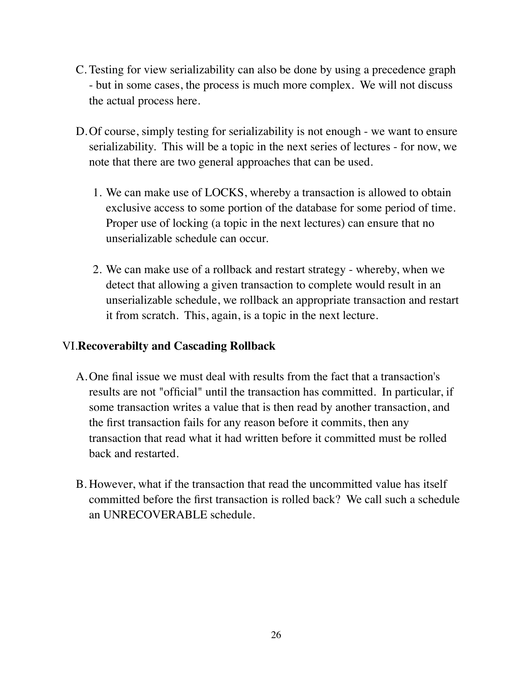- C. Testing for view serializability can also be done by using a precedence graph - but in some cases, the process is much more complex. We will not discuss the actual process here.
- D.Of course, simply testing for serializability is not enough we want to ensure serializability. This will be a topic in the next series of lectures - for now, we note that there are two general approaches that can be used.
	- 1. We can make use of LOCKS, whereby a transaction is allowed to obtain exclusive access to some portion of the database for some period of time. Proper use of locking (a topic in the next lectures) can ensure that no unserializable schedule can occur.
	- 2. We can make use of a rollback and restart strategy whereby, when we detect that allowing a given transaction to complete would result in an unserializable schedule, we rollback an appropriate transaction and restart it from scratch. This, again, is a topic in the next lecture.

# VI.**Recoverabilty and Cascading Rollback**

- A.One final issue we must deal with results from the fact that a transaction's results are not "official" until the transaction has committed. In particular, if some transaction writes a value that is then read by another transaction, and the first transaction fails for any reason before it commits, then any transaction that read what it had written before it committed must be rolled back and restarted.
- B. However, what if the transaction that read the uncommitted value has itself committed before the first transaction is rolled back? We call such a schedule an UNRECOVERABLE schedule.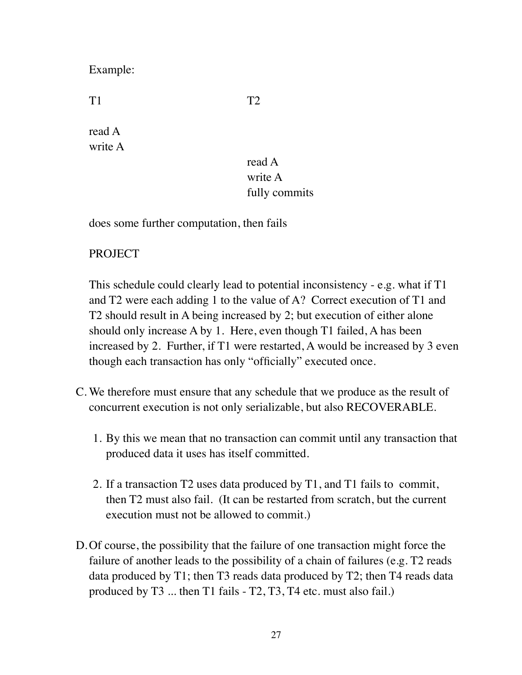Example:

T1 T2

read A write A

# read A write A fully commits

does some further computation, then fails

# PROJECT

This schedule could clearly lead to potential inconsistency - e.g. what if T1 and T2 were each adding 1 to the value of A? Correct execution of T1 and T2 should result in A being increased by 2; but execution of either alone should only increase A by 1. Here, even though T1 failed, A has been increased by 2. Further, if T1 were restarted, A would be increased by 3 even though each transaction has only "officially" executed once.

- C. We therefore must ensure that any schedule that we produce as the result of concurrent execution is not only serializable, but also RECOVERABLE.
	- 1. By this we mean that no transaction can commit until any transaction that produced data it uses has itself committed.
	- 2. If a transaction T2 uses data produced by T1, and T1 fails to commit, then T2 must also fail. (It can be restarted from scratch, but the current execution must not be allowed to commit.)
- D.Of course, the possibility that the failure of one transaction might force the failure of another leads to the possibility of a chain of failures (e.g. T2 reads data produced by T1; then T3 reads data produced by T2; then T4 reads data produced by T3 ... then T1 fails - T2, T3, T4 etc. must also fail.)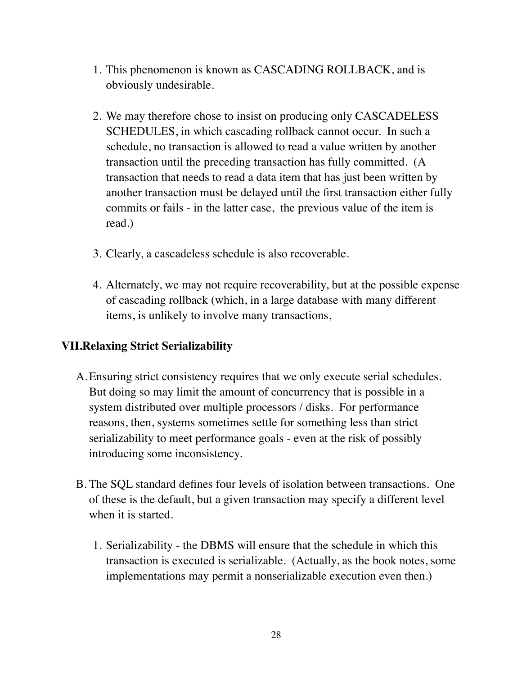- 1. This phenomenon is known as CASCADING ROLLBACK, and is obviously undesirable.
- 2. We may therefore chose to insist on producing only CASCADELESS SCHEDULES, in which cascading rollback cannot occur. In such a schedule, no transaction is allowed to read a value written by another transaction until the preceding transaction has fully committed. (A transaction that needs to read a data item that has just been written by another transaction must be delayed until the first transaction either fully commits or fails - in the latter case, the previous value of the item is read.)
- 3. Clearly, a cascadeless schedule is also recoverable.
- 4. Alternately, we may not require recoverability, but at the possible expense of cascading rollback (which, in a large database with many different items, is unlikely to involve many transactions,

# **VII.Relaxing Strict Serializability**

- A.Ensuring strict consistency requires that we only execute serial schedules. But doing so may limit the amount of concurrency that is possible in a system distributed over multiple processors / disks. For performance reasons, then, systems sometimes settle for something less than strict serializability to meet performance goals - even at the risk of possibly introducing some inconsistency.
- B. The SQL standard defines four levels of isolation between transactions. One of these is the default, but a given transaction may specify a different level when it is started.
	- 1. Serializability the DBMS will ensure that the schedule in which this transaction is executed is serializable. (Actually, as the book notes, some implementations may permit a nonserializable execution even then.)